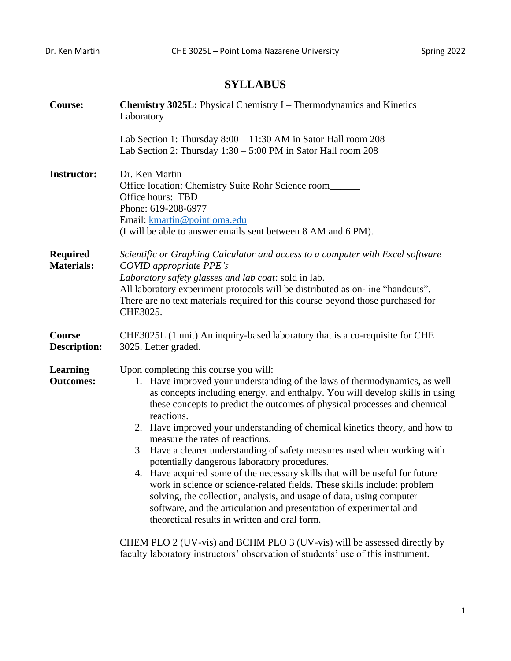## **SYLLABUS**

| <b>Course:</b>                       | <b>Chemistry 3025L:</b> Physical Chemistry I – Thermodynamics and Kinetics<br>Laboratory                                                                                                                                                                                                                                                                                                                                                                                                                                                                                                                                                                                                                                                                                                                                                                                                                  |  |  |  |  |
|--------------------------------------|-----------------------------------------------------------------------------------------------------------------------------------------------------------------------------------------------------------------------------------------------------------------------------------------------------------------------------------------------------------------------------------------------------------------------------------------------------------------------------------------------------------------------------------------------------------------------------------------------------------------------------------------------------------------------------------------------------------------------------------------------------------------------------------------------------------------------------------------------------------------------------------------------------------|--|--|--|--|
|                                      | Lab Section 1: Thursday $8:00 - 11:30$ AM in Sator Hall room 208<br>Lab Section 2: Thursday $1:30 - 5:00$ PM in Sator Hall room 208                                                                                                                                                                                                                                                                                                                                                                                                                                                                                                                                                                                                                                                                                                                                                                       |  |  |  |  |
| <b>Instructor:</b>                   | Dr. Ken Martin<br>Office location: Chemistry Suite Rohr Science room<br>Office hours: TBD<br>Phone: 619-208-6977<br>Email: kmartin@pointloma.edu<br>(I will be able to answer emails sent between 8 AM and 6 PM).                                                                                                                                                                                                                                                                                                                                                                                                                                                                                                                                                                                                                                                                                         |  |  |  |  |
| <b>Required</b><br><b>Materials:</b> | Scientific or Graphing Calculator and access to a computer with Excel software<br>COVID appropriate PPE's<br>Laboratory safety glasses and lab coat: sold in lab.<br>All laboratory experiment protocols will be distributed as on-line "handouts".<br>There are no text materials required for this course beyond those purchased for<br>CHE3025.                                                                                                                                                                                                                                                                                                                                                                                                                                                                                                                                                        |  |  |  |  |
| Course<br><b>Description:</b>        | CHE3025L (1 unit) An inquiry-based laboratory that is a co-requisite for CHE<br>3025. Letter graded.                                                                                                                                                                                                                                                                                                                                                                                                                                                                                                                                                                                                                                                                                                                                                                                                      |  |  |  |  |
| <b>Learning</b><br><b>Outcomes:</b>  | Upon completing this course you will:<br>1. Have improved your understanding of the laws of thermodynamics, as well<br>as concepts including energy, and enthalpy. You will develop skills in using<br>these concepts to predict the outcomes of physical processes and chemical<br>reactions.<br>2. Have improved your understanding of chemical kinetics theory, and how to<br>measure the rates of reactions.<br>3. Have a clearer understanding of safety measures used when working with<br>potentially dangerous laboratory procedures.<br>4. Have acquired some of the necessary skills that will be useful for future<br>work in science or science-related fields. These skills include: problem<br>solving, the collection, analysis, and usage of data, using computer<br>software, and the articulation and presentation of experimental and<br>theoretical results in written and oral form. |  |  |  |  |
|                                      | CHEM PLO 2 (UV-vis) and BCHM PLO 3 (UV-vis) will be assessed directly by<br>faculty laboratory instructors' observation of students' use of this instrument.                                                                                                                                                                                                                                                                                                                                                                                                                                                                                                                                                                                                                                                                                                                                              |  |  |  |  |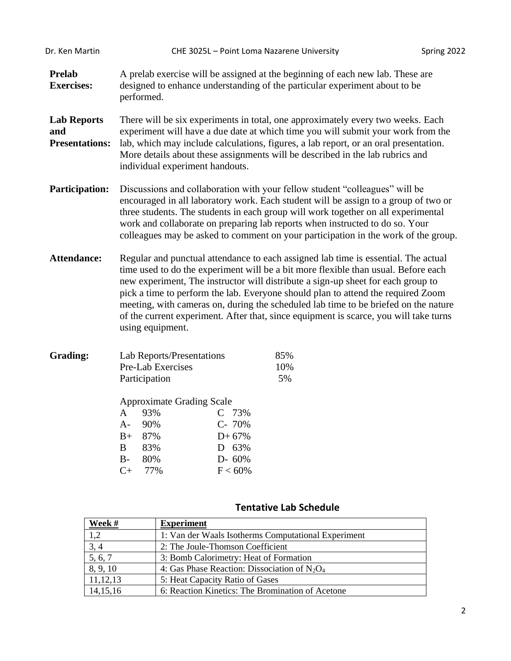| Dr. Ken Martin                                     |                                                                                                                                                                                                                                                                                                                                                                                                                                                                                                                                                      | CHE 3025L - Point Loma Nazarene University                                |                               | Spring 2022 |  |  |
|----------------------------------------------------|------------------------------------------------------------------------------------------------------------------------------------------------------------------------------------------------------------------------------------------------------------------------------------------------------------------------------------------------------------------------------------------------------------------------------------------------------------------------------------------------------------------------------------------------------|---------------------------------------------------------------------------|-------------------------------|-------------|--|--|
| <b>Prelab</b><br><b>Exercises:</b>                 | A prelab exercise will be assigned at the beginning of each new lab. These are<br>designed to enhance understanding of the particular experiment about to be<br>performed.                                                                                                                                                                                                                                                                                                                                                                           |                                                                           |                               |             |  |  |
| <b>Lab Reports</b><br>and<br><b>Presentations:</b> | There will be six experiments in total, one approximately every two weeks. Each<br>experiment will have a due date at which time you will submit your work from the<br>lab, which may include calculations, figures, a lab report, or an oral presentation.<br>More details about these assignments will be described in the lab rubrics and<br>individual experiment handouts.                                                                                                                                                                      |                                                                           |                               |             |  |  |
| <b>Participation:</b>                              | Discussions and collaboration with your fellow student "colleagues" will be<br>encouraged in all laboratory work. Each student will be assign to a group of two or<br>three students. The students in each group will work together on all experimental<br>work and collaborate on preparing lab reports when instructed to do so. Your<br>colleagues may be asked to comment on your participation in the work of the group.                                                                                                                        |                                                                           |                               |             |  |  |
| <b>Attendance:</b>                                 | Regular and punctual attendance to each assigned lab time is essential. The actual<br>time used to do the experiment will be a bit more flexible than usual. Before each<br>new experiment, The instructor will distribute a sign-up sheet for each group to<br>pick a time to perform the lab. Everyone should plan to attend the required Zoom<br>meeting, with cameras on, during the scheduled lab time to be briefed on the nature<br>of the current experiment. After that, since equipment is scarce, you will take turns<br>using equipment. |                                                                           |                               |             |  |  |
| <b>Grading:</b>                                    | Lab Reports/Presentations<br>Pre-Lab Exercises<br>Participation<br><b>Approximate Grading Scale</b><br>93%<br>A<br>90%<br>$A-$<br>$B+$<br>87%<br>B<br>83%<br>80%<br>$B-$<br>77%<br>$C+$                                                                                                                                                                                                                                                                                                                                                              | 73%<br>$\mathsf{C}$<br>C- 70%<br>$D+67%$<br>D 63%<br>D- 60%<br>$F < 60\%$ | 85%<br>10%<br>5%              |             |  |  |
|                                                    |                                                                                                                                                                                                                                                                                                                                                                                                                                                                                                                                                      |                                                                           | <b>Tentative Lab Schedule</b> |             |  |  |

| Week #               | <b>Experiment</b>                                   |
|----------------------|-----------------------------------------------------|
| 1,2                  | 1: Van der Waals Isotherms Computational Experiment |
| 3, 4                 | 2: The Joule-Thomson Coefficient                    |
| $\overline{5, 6, 7}$ | 3: Bomb Calorimetry: Heat of Formation              |
| 8, 9, 10             | 4: Gas Phase Reaction: Dissociation of $N_2O_4$     |
| 11, 12, 13           | 5: Heat Capacity Ratio of Gases                     |
| 14, 15, 16           | 6: Reaction Kinetics: The Bromination of Acetone    |